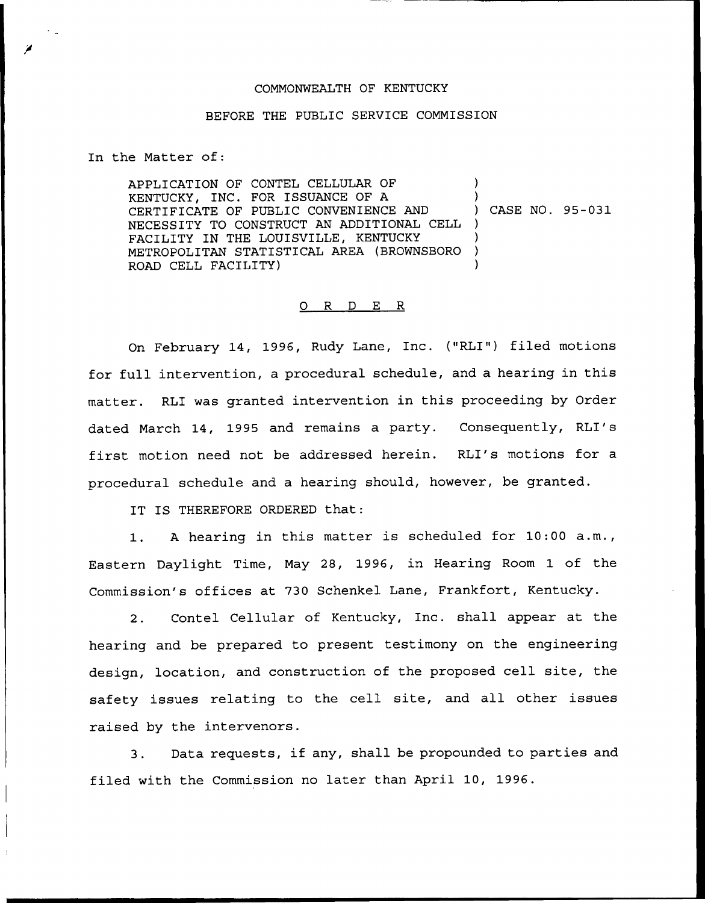## COMMONWEALTH OF KENTUCKY

## BEFORE THE PUBLIC SERVICE COMMISSION

In the Matter of:

APPLICATION OF CONTEL CELLULAR OF KENTUCKY, INC. FOR ISSUANCE OF A CERTIFICATE OF PUBLIC CONVENIENCE AND NECESSITY TO CONSTRUCT AN ADDITIONAL CELL FACILITY IN THE LOUISVILLE, KENTUCKY METROPOLITAN STATISTICAL AREA (BROWNSBORO ROAD CELL FACILITY) ) ) ) CASE NO. 95-031 ) ) ) )

## 0 R <sup>D</sup> E R

On February 14, 1996, Rudy Lane, Inc. ("RLI") filed motions for full intervention, a procedural schedule, and a hearing in this matter. RLI was granted intervention in this proceeding by Order dated March 14, 1995 and remains a party. Consequently, RLI's first motion need not be addressed herein. RLI's motions for a procedural schedule and a hearing should, however, be granted.

IT IS THEREFORE ORDERED that:

1. <sup>A</sup> hearing in this matter is scheduled for 10:00 a.m., Eastern Daylight Time, May 28, 1996, in Hearing Room 1 of the Commission's offices at 730 Schenkel Lane, Frankfort, Kentucky.

2. Contel Cellular of Kentucky, Inc. shall appear at the hearing and be prepared to present testimony on the engineering design, location, and construction of the proposed cell site, the safety issues relating to the cell site, and all other issues raised by the intervenors.

3. Data requests, if any, shall be propounded to parties and filed with the Commission no later than April 10, 1996.